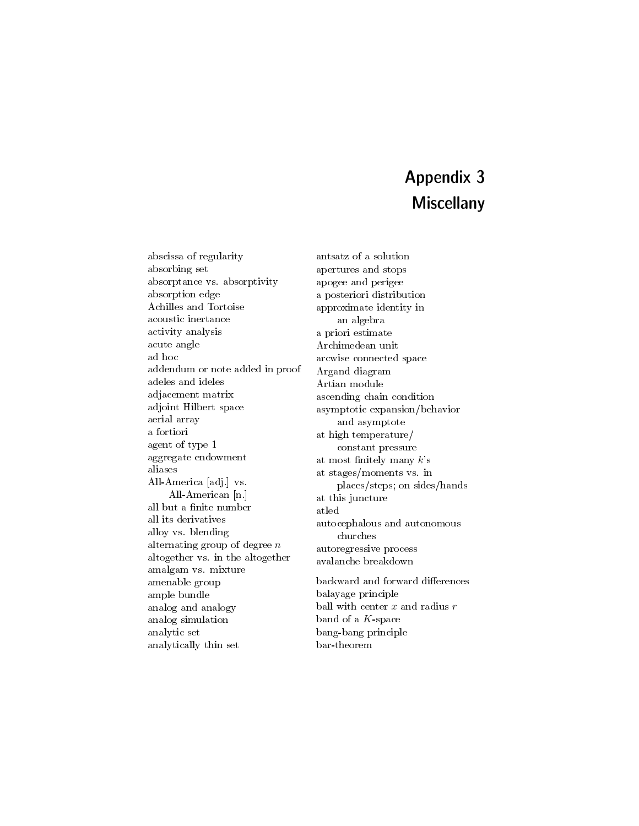## Appendix 3 **Miscellany**

abscissa of regularity absorbing set absorptance vs. absorptivity absorption edge Achilles and Tortoise acoustic inertance activity analysis acute angle ad hoc addendum or note added in proof adeles and ideles adjacement matrix adjoint Hilbert space aerial array a fortiori agent of type 1 aggregate endowment aliases All-America [adj.] vs. All-American [n.] all but a finite number all its derivatives alloy vs. blending alternating group of degree n altogether vs. in the altogether amalgam vs. mixture amenable group ample bundle analog and analogy analog simulation analytic set analytically thin set

antsatz of a solution apertures and stops apogee and perigee a posteriori distribution approximate identity in an algebra a priori estimate Archimedean unit arcwise connected space Argand diagram Artian module ascending chain condition asymptotic expansion/behavior and asymptote at high temperature/ constant pressure at most finitely many  $k$ 's at stages/moments vs. in places/steps; on sides/hands at this juncture atled autocephalous and autonomous churches autoregressive process avalanche breakdown backward and forward differences balayage principle ball with center  $x$  and radius  $r$ band of a K-space bang-bang principle bar-theorem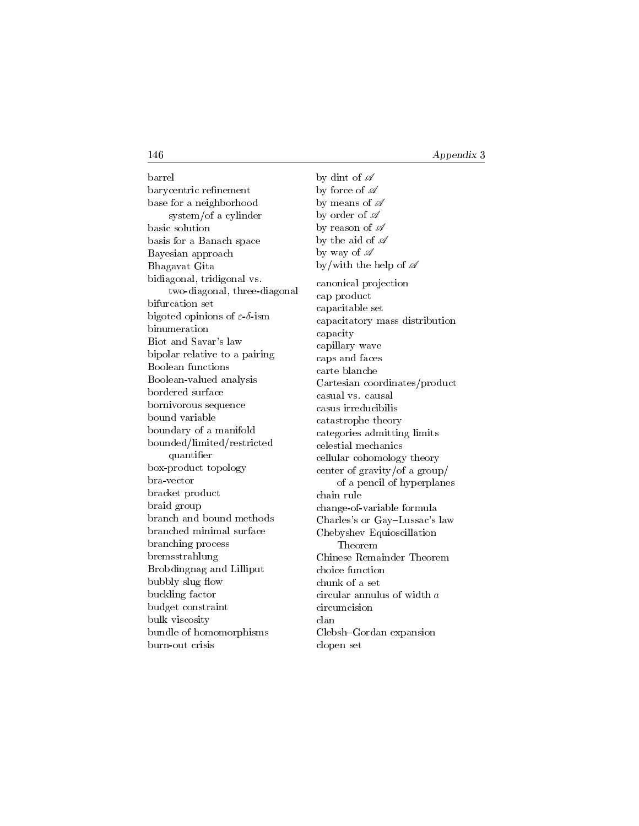barrel barycentric renement base for a neighborhood system/of a cylinder basic solution basis for a Banach space Bayesian approach Bhagavat Gita bidiagonal, tridigonal vs. two-diagonal, three-diagonal bifurcation set bigoted opinions of  $\varepsilon$ - $\delta$ -ism binumeration Biot and Savar's law bipolar relative to a pairing Boolean functions Boolean-valued analysis bordered surface bornivorous sequence bound variable boundary of a manifold bounded/limited/restricted quantier box-product topology bra-vector bracket product braid group branch and bound methods branched minimal surface branching process bremsstrahlung Brobdingnag and Lilliput bubbly slug flow buckling factor budget constraint bulk viscosity bundle of homomorphisms burn-out crisis

by dint of  $\mathscr A$ by force of  $\mathscr A$ by means of  $\mathscr A$ by order of  $\mathscr A$ by reason of  $\mathscr A$ by the aid of  $\mathscr A$ by way of  $\mathscr A$ by/with the help of  $\mathscr A$ canonical projection cap product capacitable set capacitatory mass distribution capacity capillary wave caps and faces carte blanche Cartesian coordinates/product casual vs. causal casus irreducibilis catastrophe theory categories admitting limits celestial mechanics cellular cohomology theory center of gravity/of a group/ of a pencil of hyperplanes chain rule change-of-variable formula Charles's or Gay-Lussac's law Chebyshev Equioscillation Theorem Chinese Remainder Theorem choice function chunk of a set circular annulus of width a circumcision clan Clebsh-Gordan expansion clopen set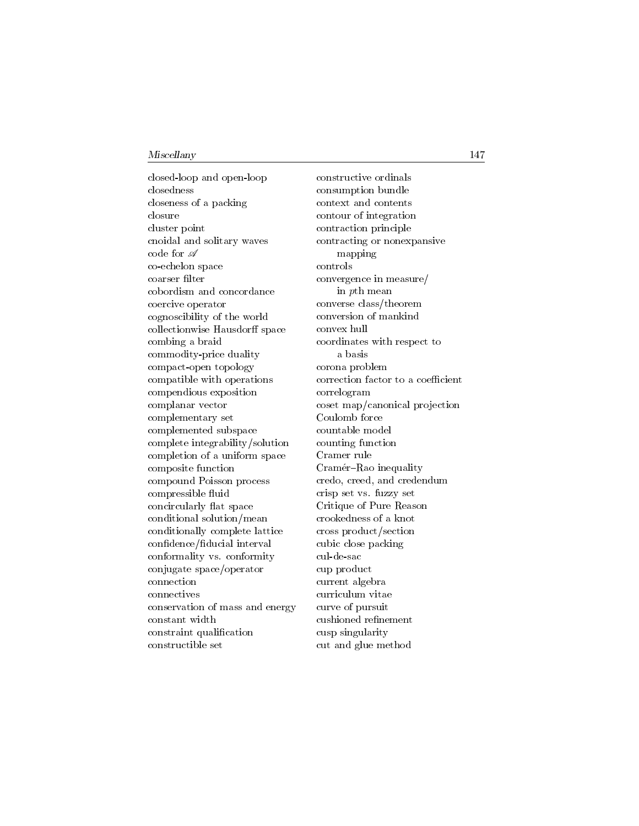closed-loop and open-loop closedness closeness of a packing closure cluster point cnoidal and solitary waves code for  $\mathscr A$ co-echelon space coarser filter cobordism and concordance coercive operator cognoscibility of the world collectionwise Hausdorff space combing a braid commodity-price duality compact-open topology compatible with operations compendious exposition complanar vector complementary set complemented subspace complete integrability/solution completion of a uniform space composite function compound Poisson process compressible fluid concircularly 
at space conditional solution/mean conditionally complete lattice confidence/fiducial interval conformality vs. conformity conjugate space/operator connection connectives conservation of mass and energy constant width constraint qualication constructible set

constructive ordinals consumption bundle context and contents contour of integration contraction principle contracting or nonexpansive mapping controls convergence in measure/ in pth mean converse class/theorem conversion of mankind convex hull coordinates with respect to a basis corona problem correction factor to a coefficient correlogram coset map/canonical projection Coulomb force countable model counting function Cramer rule Cramér–Rao inequality credo, creed, and credendum crisp set vs. fuzzy set Critique of Pure Reason crookedness of a knot cross product/section cubic close packing cul-de-sac cup product current algebra curriculum vitae curve of pursuit cushioned refinement cusp singularity cut and glue method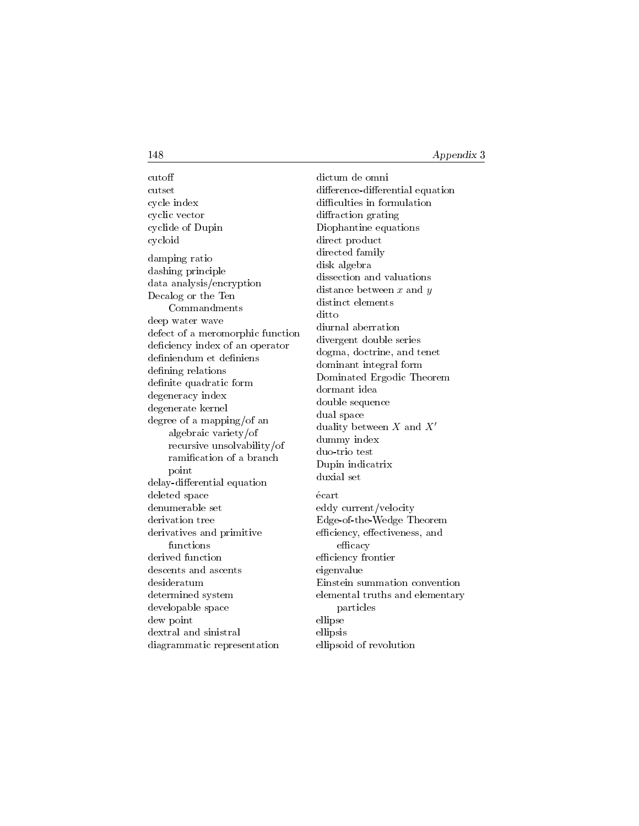cutoff cutset cycle index cyclic vector cyclide of Dupin cycloid damping ratio dashing principle data analysis/encryption Decalog or the Ten Commandments deep water wave defect of a meromorphic function deficiency index of an operator definiendum et definiens defining relations definite quadratic form degeneracy index degenerate kernel degree of a mapping/of an algebraic variety/of recursive unsolvability/of ramication of a branch point delay-differential equation deleted space denumerable set derivation tree derivatives and primitive functions derived function descents and ascents desideratum determined system developable space dew point dextral and sinistral diagrammatic representation

dictum de omni difference-differential equation difficulties in formulation diffraction grating Diophantine equations direct product directed family disk algebra dissection and valuations distance between  $x$  and  $y$ distinct elements ditto diurnal aberration divergent double series dogma, doctrine, and tenet dominant integral form Dominated Ergodic Theorem dormant idea double sequence dual space duality between  $X$  and  $X'$ dummy index duo-trio test Dupin indicatrix duxial set ecart eddy current/velocity Edge-of-the-Wedge Theorem efficiency, effectiveness, and efficacy efficiency frontier eigenvalue Einstein summation convention elemental truths and elementary particles ellipse ellipsis ellipsoid of revolution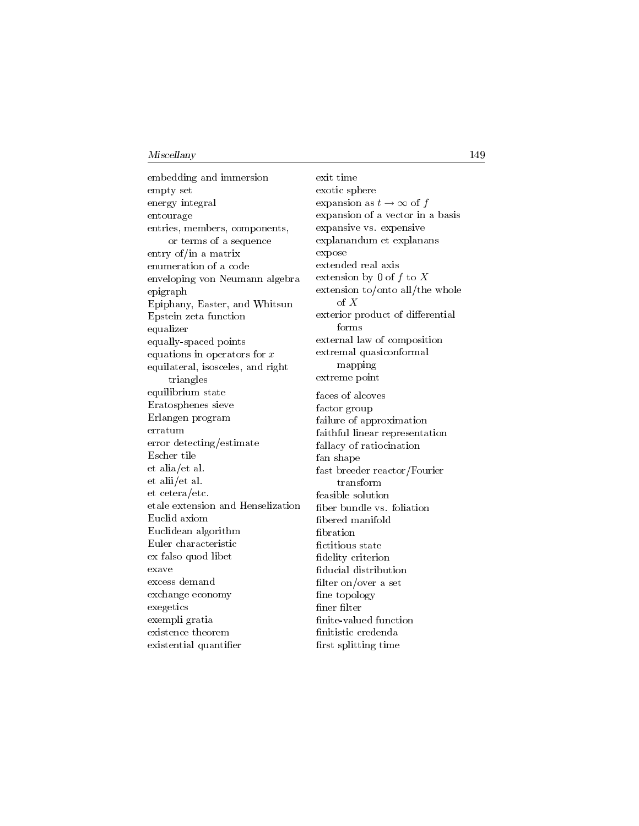embedding and immersion empty set energy integral entourage entries, members, components, or terms of a sequence entry of/in a matrix enumeration of a code enveloping von Neumann algebra epigraph Epiphany, Easter, and Whitsun Epstein zeta function equalizer equally-spaced points equations in operators for  $x$ equilateral, isosceles, and right triangles equilibrium state Eratosphenes sieve Erlangen program erratum error detecting/estimate Escher tile et alia/et al. et alii/et al. et cetera/etc. etale extension and Henselization Euclid axiom Euclidean algorithm Euler characteristic ex falso quod libet exave excess demand exchange economy exegetics exempli gratia existence theorem existential quantier

exit time exotic sphere expansion as  $t \to \infty$  of f expansion of a vector in a basis expansive vs. expensive explanandum et explanans expose extended real axis extension by 0 of f to X extension to/onto all/the whole of X exterior product of differential forms external law of composition extremal quasiconformal mapping extreme point faces of alcoves factor group failure of approximation faithful linear representation fallacy of ratiocination fan shape fast breeder reactor/Fourier transform feasible solution ber bundle vs. foliation bered manifold bration fictitious state fidelity criterion ducial distribution filter on/over a set fine topology finer filter finite-valued function nitistic credenda first splitting time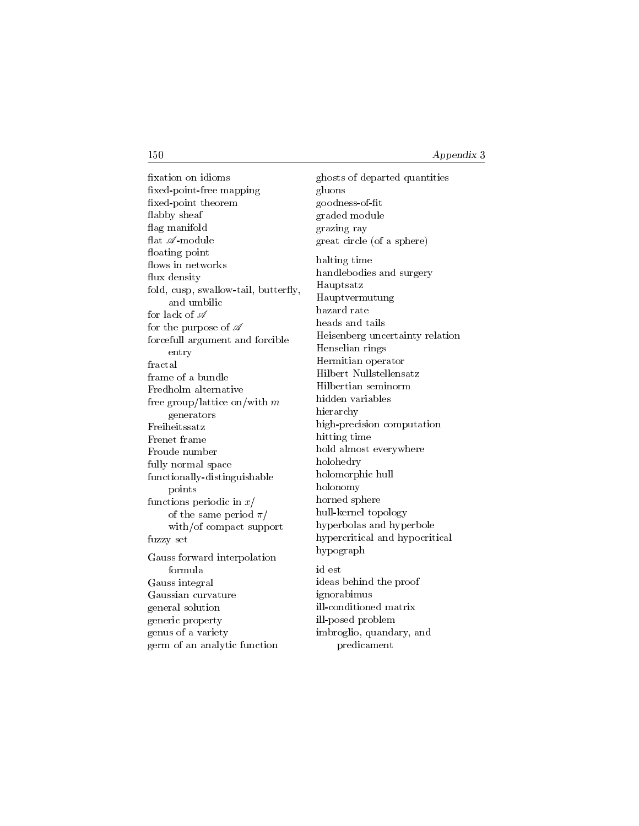xation on idioms xed-point-free mapping xed-point theorem flabby sheaf flag manifold flat  $\mathscr{A}\text{-module}$ floating point flows in networks flux density fold, cusp, swallow-tail, butterfly, and umbilic for lack of  $\mathscr A$ for the purpose of  $\mathscr A$ forcefull argument and forcible entry fractal frame of a bundle Fredholm alternative free group/lattice on/with m generators Freiheitssatz Frenet frame Froude number fully normal space functionally-distinguishable points functions periodic in  $x/$ of the same period  $\pi/$ with/of compact support fuzzy set Gauss forward interpolation formula Gauss integral Gaussian curvature general solution generic property genus of a variety germ of an analytic function

ghosts of departed quantities gluons goodness-of-t graded module grazing ray great circle (of a sphere) halting time handlebodies and surgery Hauptsatz Hauptvermutung hazard rate heads and tails Heisenberg uncertainty relation Henselian rings Hermitian operator Hilbert Nullstellensatz Hilbertian seminorm hidden variables hierarchy high-precision computation hitting time hold almost everywhere holohedry holomorphic hull holonomy horned sphere hull-kernel topology hyperbolas and hyperbole hypercritical and hypocritical hypograph id est ideas behind the proof ignorabimus ill-conditioned matrix ill-posed problem imbroglio, quandary, and predicament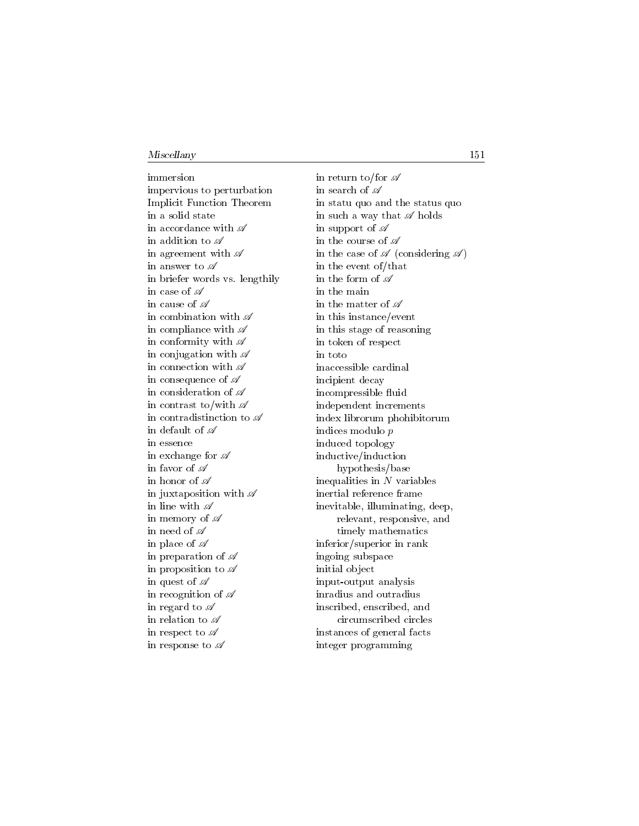immersion impervious to perturbation Implicit Function Theorem in a solid state in accordance with  $\mathscr A$ in addition to  $\mathscr A$ in agreement with  $\mathscr A$ in answer to  $\mathscr A$ in briefer words vs. lengthily in case of  $\mathscr A$ in cause of  $\mathscr A$ in combination with  $\mathscr A$ in compliance with  $\mathscr A$ in conformity with  $\mathscr A$ in conjugation with  $\mathscr A$ in connection with  $\mathscr A$ in consequence of  $\mathscr A$ in consideration of  $\mathscr A$ in contrast to/with  $\mathscr A$ in contradistinction to  $\mathscr A$ in default of  $\mathscr A$ in essence in exchange for  $\mathscr A$ in favor of  $\mathscr A$ in honor of  $\mathscr A$ in juxtaposition with  $\mathscr A$ in line with  $\mathscr A$ in memory of  $\mathscr A$ in need of  $\mathscr A$ in place of  $\mathscr A$ in preparation of  $\mathscr A$ in proposition to  $\mathscr A$ in quest of  $\mathscr A$ in recognition of  $\mathscr A$ in regard to  $\mathscr A$ in relation to  $\mathscr A$ in respect to  $\mathscr A$ in response to  $\mathscr A$ 

in return to/for  $\mathscr A$ in search of  $\mathscr A$ in statu quo and the status quo in such a way that  $\mathscr A$  holds in support of  $\mathscr A$ in the course of  $\mathscr A$ in the case of  $\mathscr A$  (considering  $\mathscr A$ ) in the event of/that in the form of  $\mathscr A$ in the main in the matter of  $\mathscr A$ in this instance/event in this stage of reasoning in token of respect in toto inaccessible cardinal incipient decay incompressible fluid independent increments index librorum phohibitorum indices modulo p induced topology inductive/induction hypothesis/base inequalities in  $N$  variables inertial reference frame inevitable, illuminating, deep, relevant, responsive, and timely mathematics inferior/superior in rank ingoing subspace initial object input-output analysis inradius and outradius inscribed, enscribed, and circumscribed circles instances of general facts integer programming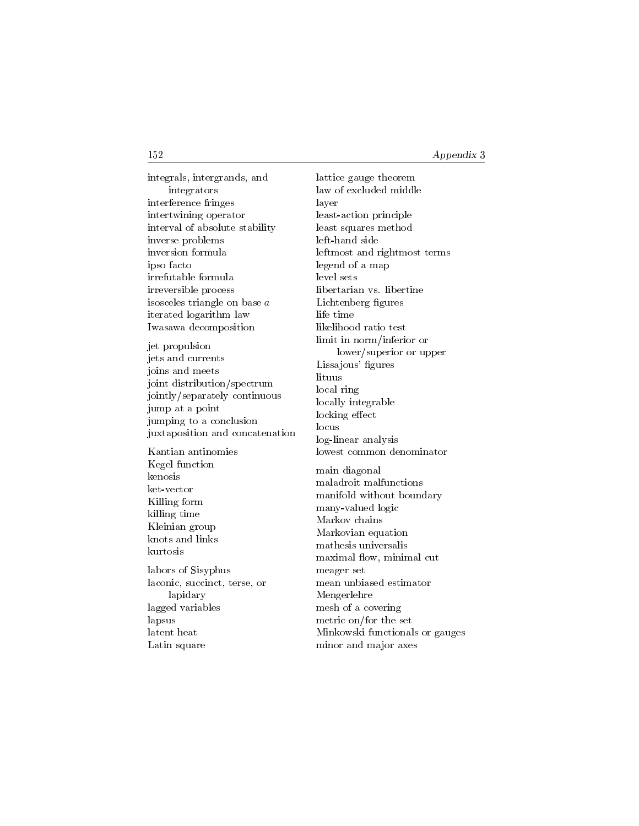integrals, intergrands, and integrators interference fringes intertwining operator interval of absolute stability inverse problems inversion formula ipso facto irrefutable formula irreversible process isosceles triangle on base a iterated logarithm law Iwasawa decomposition jet propulsion jets and currents joins and meets joint distribution/spectrum jointly/separately continuous jump at a point jumping to a conclusion juxtaposition and concatenation Kantian antinomies Kegel function kenosis ket-vector Killing form killing time Kleinian group knots and links kurtosis labors of Sisyphus laconic, succinct, terse, or lapidary lagged variables lapsus latent heat Latin square

lattice gauge theorem law of excluded middle layer least-action principle least squares method left-hand side leftmost and rightmost terms legend of a map level sets libertarian vs. libertine Lichtenberg figures life time likelihood ratio test limit in norm/inferior or lower/superior or upper Lissajous' figures lituus local ring locally integrable locking effect locus log-linear analysis lowest common denominator main diagonal maladroit malfunctions manifold without boundary many-valued logic Markov chains Markovian equation mathesis universalis maximal flow, minimal cut meager set mean unbiased estimator Mengerlehre mesh of a covering metric on/for the set Minkowski functionals or gauges minor and major axes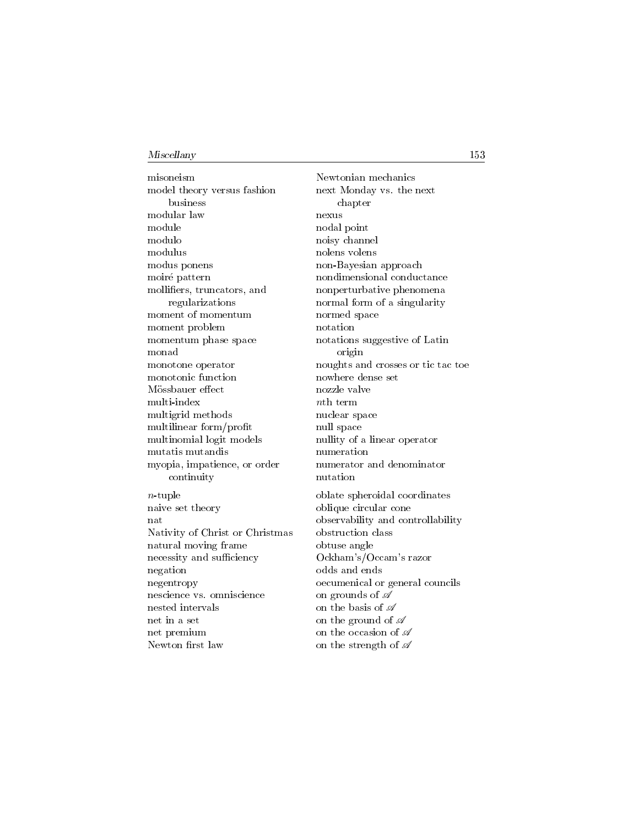misoneism model theory versus fashion business modular law module modulo modulus modus ponens moiré pattern molliers, truncators, and regularizations moment of momentum moment problem momentum phase space monad monotone operator monotonic function Mössbauer effect multi-index multigrid methods multilinear form/profit multinomial logit models mutatis mutandis myopia, impatience, or order continuity  $n$ -tuple naive set theory nat Nativity of Christ or Christmas natural moving frame necessity and sufficiency negation negentropy nescience vs. omniscience nested intervals net in a set net premium Newton first law

Newtonian mechanics next Monday vs. the next chapter nexus nodal point noisy channel nolens volens non-Bayesian approach nondimensional conductance nonperturbative phenomena normal form of a singularity normed space notation notations suggestive of Latin origin noughts and crosses or tic tac toe nowhere dense set nozzle valve nth term nuclear space null space nullity of a linear operator numeration numerator and denominator nutation oblate spheroidal coordinates oblique circular cone observability and controllability obstruction class obtuse angle Ockham's/Occam's razor odds and ends oecumenical or general councils on grounds of  $\mathscr A$ on the basis of  $\mathscr A$ on the ground of  $\mathscr A$ on the occasion of  $\mathscr A$ 

on the strength of  $\mathscr A$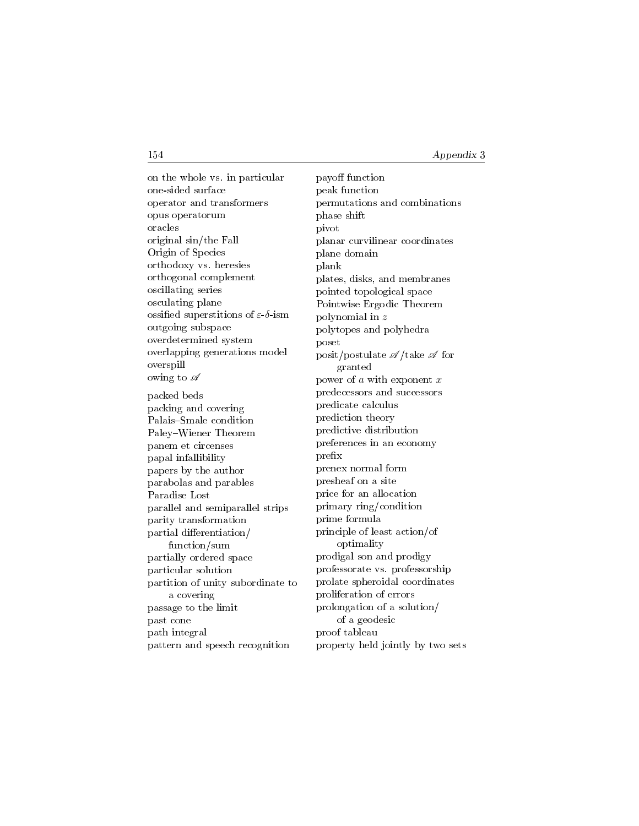on the whole vs. in particular one-sided surface operator and transformers opus operatorum oracles original sin/the Fall Origin of Species orthodoxy vs. heresies orthogonal complement oscillating series osculating plane ossified superstitions of  $\varepsilon$ -δ-ism outgoing subspace overdetermined system overlapping generations model overspill owing to  $\mathscr A$ packed beds packing and covering Palais-Smale condition Paley-Wiener Theorem panem et circenses papal infallibility papers by the author parabolas and parables Paradise Lost parallel and semiparallel strips parity transformation partial differentiation/ function/sum partially ordered space particular solution partition of unity subordinate to a covering passage to the limit past cone path integral pattern and speech recognition

payoff function peak function permutations and combinations phase shift pivot planar curvilinear coordinates plane domain plank plates, disks, and membranes pointed topological space Pointwise Ergodic Theorem polynomial in z polytopes and polyhedra poset posit/postulate  $\mathscr{A}/\text{take } \mathscr{A}$  for granted power of  $a$  with exponent  $x$ predecessors and successors predicate calculus prediction theory predictive distribution preferences in an economy prex prenex normal form presheaf on a site price for an allocation primary ring/condition prime formula principle of least action/of optimality prodigal son and prodigy professorate vs. professorship prolate spheroidal coordinates proliferation of errors prolongation of a solution/ of a geodesic proof tableau property held jointly by two sets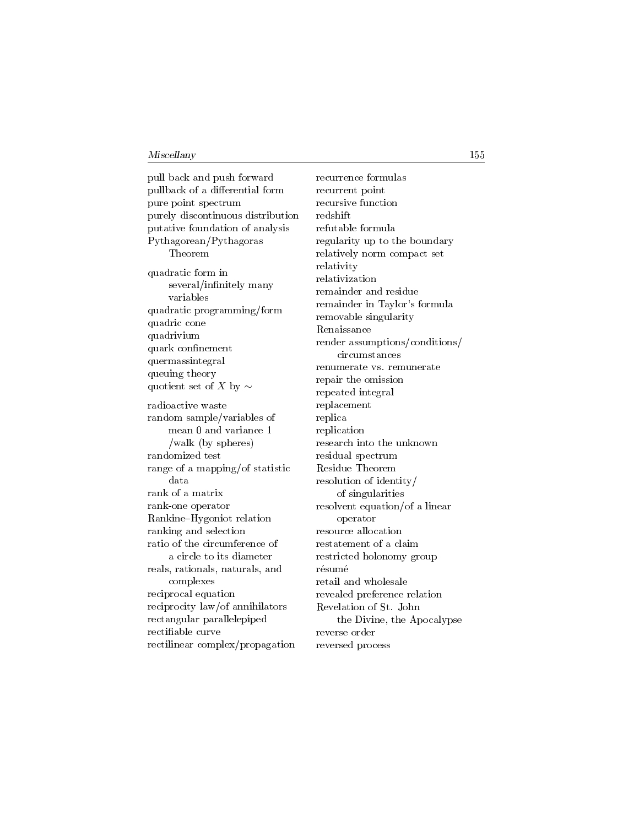pull back and push forward pullback of a differential form pure point spectrum purely discontinuous distribution putative foundation of analysis Pythagorean/Pythagoras Theorem quadratic form in several/infinitely many variables quadratic programming/form quadric cone quadrivium quark confinement quermassintegral queuing theory quotient set of X by  $\sim$ radioactive waste random sample/variables of mean 0 and variance 1 /walk (by spheres) randomized test range of a mapping/of statistic data rank of a matrix rank-one operator Rankine{Hygoniot relation ranking and selection ratio of the circumference of a circle to its diameter reals, rationals, naturals, and complexes reciprocal equation reciprocity law/of annihilators rectangular parallelepiped rectiable curve rectilinear complex/propagation

recurrence formulas recurrent point recursive function redshift refutable formula regularity up to the boundary relatively norm compact set relativity relativization remainder and residue remainder in Taylor's formula removable singularity Renaissance render assumptions/conditions/ circumstances renumerate vs. remunerate repair the omission repeated integral replacement replica replication research into the unknown residual spectrum Residue Theorem resolution of identity/ of singularities resolvent equation/of a linear operator resource allocation restatement of a claim restricted holonomy group résumé retail and wholesale revealed preference relation Revelation of St. John the Divine, the Apocalypse reverse order reversed process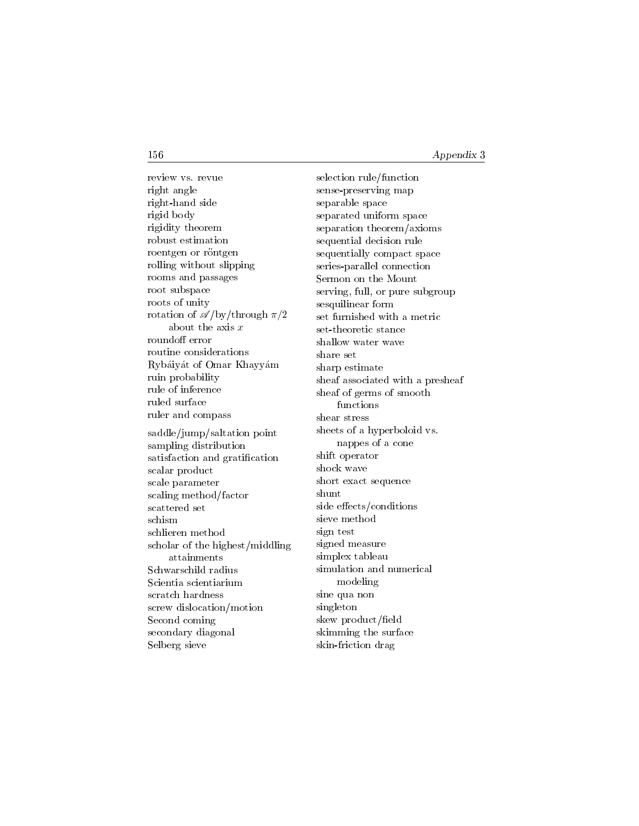review vs. revue right angle right-hand side rigid body rigidity theorem robust estimation roentgen or röntgen rolling without slipping rooms and passages root subspace roots of unity rotation of  $\mathscr{A}/\mathrm{by}/\mathrm{through}\ \pi/2$ about the axis  $x$ roundoff error routine considerations Rybaiyat of Omar Khayyam ruin probability rule of inference ruled surface ruler and compass saddle/jump/saltation point sampling distribution satisfaction and gratification scalar product scale parameter scaling method/factor scattered set schism schlieren method scholar of the highest/middling attainments Schwarschild radius Scientia scientiarium scratch hardness screw dislocation/motion Second coming secondary diagonal Selberg sieve

selection rule/function sense-preserving map separable space separated uniform space separation theorem/axioms sequential decision rule sequentially compact space series-parallel connection Sermon on the Mount serving, full, or pure subgroup sesquilinear form set furnished with a metric set-theoretic stance shallow water wave share set sharp estimate sheaf associated with a presheaf sheaf of germs of smooth functions shear stress sheets of a hyperboloid vs. nappes of a cone shift operator shock wave short exact sequence shunt side effects/conditions sieve method sign test signed measure simplex tableau simulation and numerical modeling sine qua non singleton skew product/field skimming the surface skin-friction drag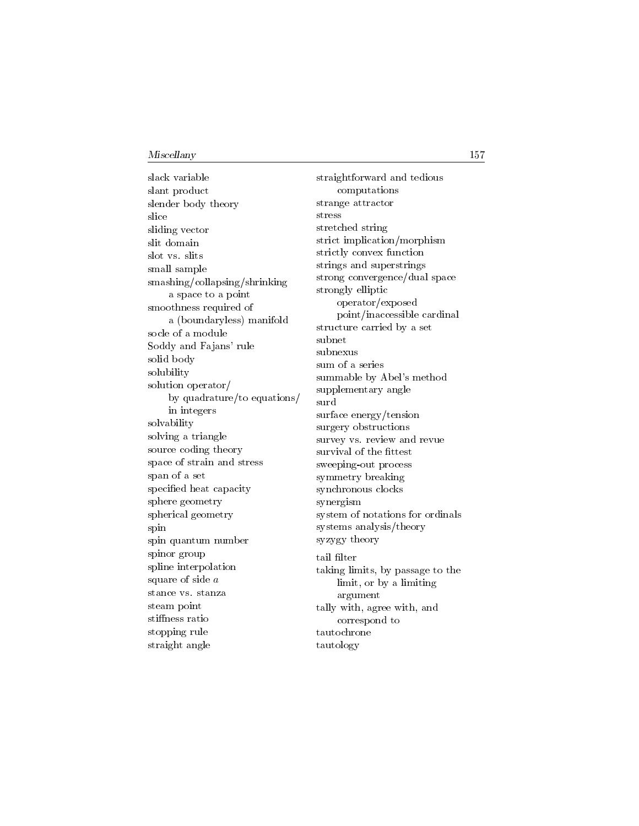slack variable slant product slender body theory slice sliding vector slit domain slot vs. slits small sample smashing/collapsing/shrinking a space to a point smoothness required of a (boundaryless) manifold socle of a module Soddy and Fajans' rule solid body solubility solution operator/ by quadrature/to equations/ in integers solvability solving a triangle source coding theory space of strain and stress span of a set specified heat capacity sphere geometry spherical geometry spin spin quantum number spinor group spline interpolation square of side a stance vs. stanza steam point stiffness ratio stopping rule straight angle

straightforward and tedious computations strange attractor stress stretched string strict implication/morphism strictly convex function strings and superstrings strong convergence/dual space strongly elliptic operator/exposed point/inaccessible cardinal structure carried by a set subnet subnexus sum of a series summable by Abel's method supplementary angle surd surface energy/tension surgery obstructions survey vs. review and revue survival of the fittest sweeping-out process symmetry breaking synchronous clocks synergism system of notations for ordinals systems analysis/theory syzygy theory tail filter taking limits, by passage to the limit, or by a limiting argument tally with, agree with, and correspond to tautochrone tautology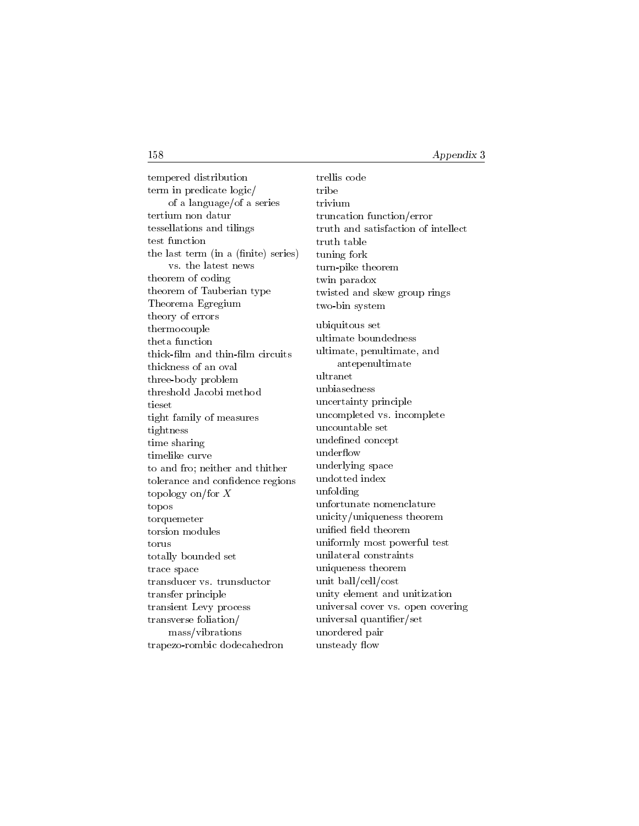tempered distribution term in predicate logic/ of a language/of a series tertium non datur tessellations and tilings test function the last term (in a (finite) series) vs. the latest news theorem of coding theorem of Tauberian type Theorema Egregium theory of errors thermocouple theta function thick-lm and thin-lm circuits thickness of an oval three-body problem threshold Jacobi method tieset tight family of measures tightness time sharing timelike curve to and fro; neither and thither tolerance and confidence regions topology on/for X topos torquemeter torsion modules torus totally bounded set trace space transducer vs. trunsductor transfer principle transient Levy process transverse foliation/ mass/vibrations trapezo-rombic dodecahedron

trellis code tribe trivium truncation function/error truth and satisfaction of intellect truth table tuning fork turn-pike theorem twin paradox twisted and skew group rings two-bin system ubiquitous set ultimate boundedness ultimate, penultimate, and antepenultimate ultranet unbiasedness uncertainty principle uncompleted vs. incomplete uncountable set undefined concept underflow underlying space undotted index unfolding unfortunate nomenclature unicity/uniqueness theorem unified field theorem uniformly most powerful test unilateral constraints uniqueness theorem unit ball/cell/cost unity element and unitization universal cover vs. open covering universal quantier/set unordered pair unsteady flow